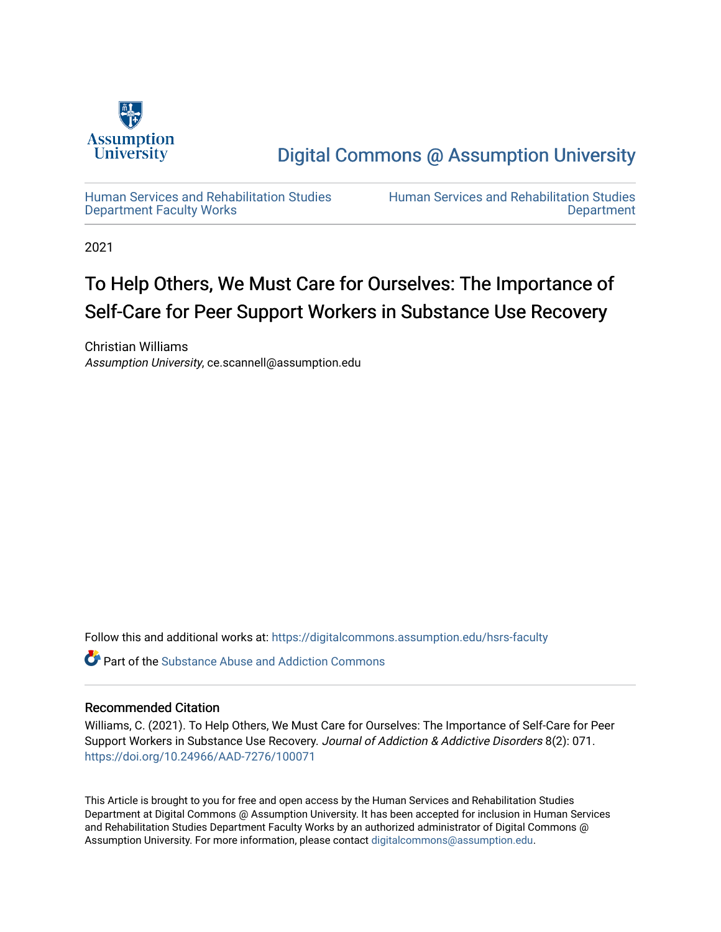

[Digital Commons @ Assumption University](https://digitalcommons.assumption.edu/) 

[Human Services and Rehabilitation Studies](https://digitalcommons.assumption.edu/hsrs-faculty)  [Department Faculty Works](https://digitalcommons.assumption.edu/hsrs-faculty)

[Human Services and Rehabilitation Studies](https://digitalcommons.assumption.edu/hsrs)  [Department](https://digitalcommons.assumption.edu/hsrs) 

2021

### To Help Others, We Must Care for Ourselves: The Importance of Self-Care for Peer Support Workers in Substance Use Recovery

Christian Williams Assumption University, ce.scannell@assumption.edu

Follow this and additional works at: [https://digitalcommons.assumption.edu/hsrs-faculty](https://digitalcommons.assumption.edu/hsrs-faculty?utm_source=digitalcommons.assumption.edu%2Fhsrs-faculty%2F17&utm_medium=PDF&utm_campaign=PDFCoverPages) 

**C** Part of the [Substance Abuse and Addiction Commons](http://network.bepress.com/hgg/discipline/710?utm_source=digitalcommons.assumption.edu%2Fhsrs-faculty%2F17&utm_medium=PDF&utm_campaign=PDFCoverPages)

#### Recommended Citation

Williams, C. (2021). To Help Others, We Must Care for Ourselves: The Importance of Self-Care for Peer Support Workers in Substance Use Recovery. Journal of Addiction & Addictive Disorders 8(2): 071. <https://doi.org/10.24966/AAD-7276/100071>

This Article is brought to you for free and open access by the Human Services and Rehabilitation Studies Department at Digital Commons @ Assumption University. It has been accepted for inclusion in Human Services and Rehabilitation Studies Department Faculty Works by an authorized administrator of Digital Commons @ Assumption University. For more information, please contact [digitalcommons@assumption.edu.](mailto:digitalcommons@assumption.edu)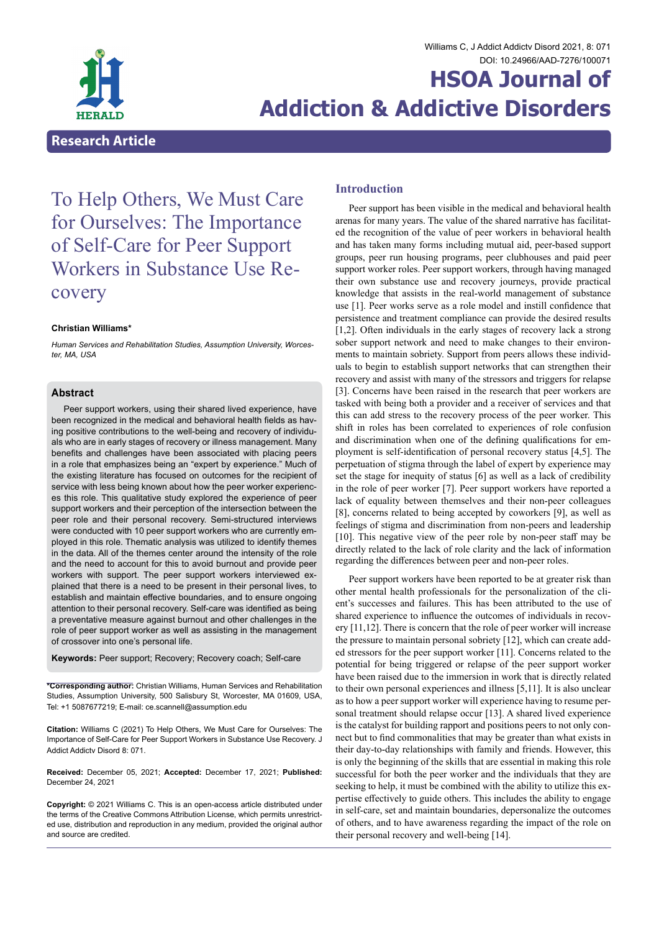

## **HSOA Journal of Addiction & Addictive Disorders**

### **Introduction**

Peer support has been visible in the medical and behavioral health arenas for many years. The value of the shared narrative has facilitated the recognition of the value of peer workers in behavioral health and has taken many forms including mutual aid, peer-based support groups, peer run housing programs, peer clubhouses and paid peer support worker roles. Peer support workers, through having managed their own substance use and recovery journeys, provide practical knowledge that assists in the real-world management of substance use [1]. Peer works serve as a role model and instill confidence that persistence and treatment compliance can provide the desired results [1,2]. Often individuals in the early stages of recovery lack a strong sober support network and need to make changes to their environments to maintain sobriety. Support from peers allows these individuals to begin to establish support networks that can strengthen their recovery and assist with many of the stressors and triggers for relapse [3]. Concerns have been raised in the research that peer workers are tasked with being both a provider and a receiver of services and that this can add stress to the recovery process of the peer worker. This shift in roles has been correlated to experiences of role confusion and discrimination when one of the defining qualifications for employment is self-identification of personal recovery status [4,5]. The perpetuation of stigma through the label of expert by experience may set the stage for inequity of status [6] as well as a lack of credibility in the role of peer worker [7]. Peer support workers have reported a lack of equality between themselves and their non-peer colleagues [8], concerns related to being accepted by coworkers [9], as well as feelings of stigma and discrimination from non-peers and leadership [10]. This negative view of the peer role by non-peer staff may be directly related to the lack of role clarity and the lack of information regarding the differences between peer and non-peer roles.

Peer support workers have been reported to be at greater risk than other mental health professionals for the personalization of the client's successes and failures. This has been attributed to the use of shared experience to influence the outcomes of individuals in recovery [11,12]. There is concern that the role of peer worker will increase the pressure to maintain personal sobriety [12], which can create added stressors for the peer support worker [11]. Concerns related to the potential for being triggered or relapse of the peer support worker have been raised due to the immersion in work that is directly related to their own personal experiences and illness [5,11]. It is also unclear as to how a peer support worker will experience having to resume personal treatment should relapse occur [13]. A shared lived experience is the catalyst for building rapport and positions peers to not only connect but to find commonalities that may be greater than what exists in their day-to-day relationships with family and friends. However, this is only the beginning of the skills that are essential in making this role successful for both the peer worker and the individuals that they are seeking to help, it must be combined with the ability to utilize this expertise effectively to guide others. This includes the ability to engage in self-care, set and maintain boundaries, depersonalize the outcomes of others, and to have awareness regarding the impact of the role on their personal recovery and well-being [14].

# To Help Others, We Must Care for Ourselves: The Importance of Self-Care for Peer Support Workers in Substance Use Re- covery

#### **Christian Williams\***

*Human Services and Rehabilitation Studies, Assumption University, Worcester, MA, USA*

#### **Abstract**

Peer support workers, using their shared lived experience, have been recognized in the medical and behavioral health fields as having positive contributions to the well-being and recovery of individuals who are in early stages of recovery or illness management. Many benefits and challenges have been associated with placing peers in a role that emphasizes being an "expert by experience." Much of the existing literature has focused on outcomes for the recipient of service with less being known about how the peer worker experiences this role. This qualitative study explored the experience of peer support workers and their perception of the intersection between the peer role and their personal recovery. Semi-structured interviews were conducted with 10 peer support workers who are currently employed in this role. Thematic analysis was utilized to identify themes in the data. All of the themes center around the intensity of the role and the need to account for this to avoid burnout and provide peer workers with support. The peer support workers interviewed explained that there is a need to be present in their personal lives, to establish and maintain effective boundaries, and to ensure ongoing attention to their personal recovery. Self-care was identified as being a preventative measure against burnout and other challenges in the role of peer support worker as well as assisting in the management of crossover into one's personal life.

**Keywords:** Peer support; Recovery; Recovery coach; Self-care

**\*Corresponding author:** Christian Williams, Human Services and Rehabilitation Studies, Assumption University, 500 Salisbury St, Worcester, MA 01609, USA, Tel: +1 5087677219; E-mail: ce.scannell@assumption.edu

**Citation:** Williams C (2021) To Help Others, We Must Care for Ourselves: The Importance of Self-Care for Peer Support Workers in Substance Use Recovery. J Addict Addictv Disord 8: 071.

**Received:** December 05, 2021; **Accepted:** December 17, 2021; **Published:** December 24, 2021

**Copyright:** © 2021 Williams C. This is an open-access article distributed under the terms of the Creative Commons Attribution License, which permits unrestricted use, distribution and reproduction in any medium, provided the original author and source are credited.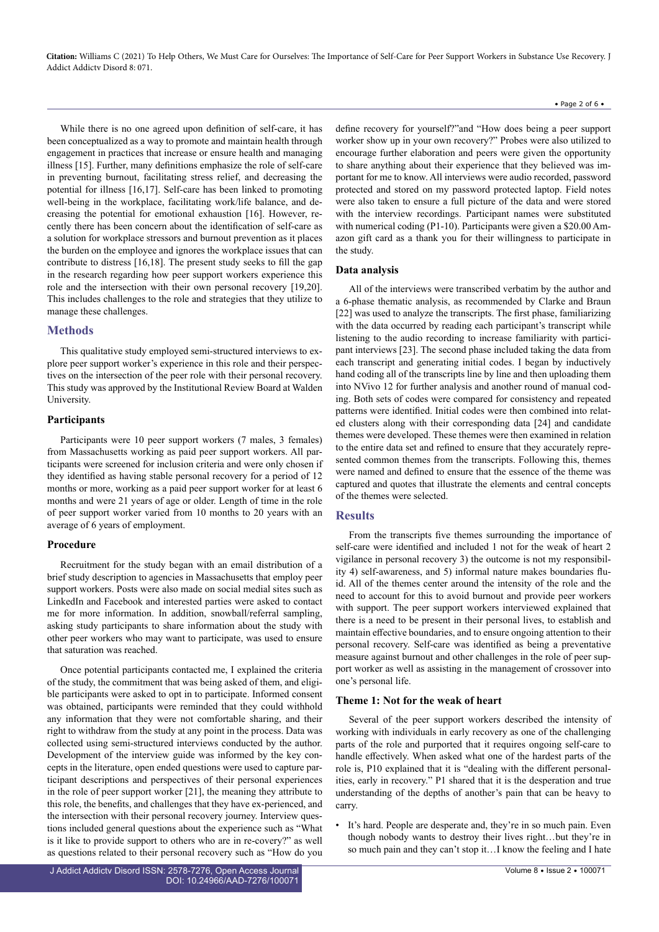While there is no one agreed upon definition of self-care, it has been conceptualized as a way to promote and maintain health through engagement in practices that increase or ensure health and managing illness [15]. Further, many definitions emphasize the role of self-care in preventing burnout, facilitating stress relief, and decreasing the potential for illness [16,17]. Self-care has been linked to promoting well-being in the workplace, facilitating work/life balance, and decreasing the potential for emotional exhaustion [16]. However, recently there has been concern about the identification of self-care as a solution for workplace stressors and burnout prevention as it places the burden on the employee and ignores the workplace issues that can contribute to distress [16,18]. The present study seeks to fill the gap in the research regarding how peer support workers experience this role and the intersection with their own personal recovery [19,20]. This includes challenges to the role and strategies that they utilize to manage these challenges.

#### **Methods**

This qualitative study employed semi-structured interviews to explore peer support worker's experience in this role and their perspectives on the intersection of the peer role with their personal recovery. This study was approved by the Institutional Review Board at Walden University.

#### **Participants**

Participants were 10 peer support workers (7 males, 3 females) from Massachusetts working as paid peer support workers. All participants were screened for inclusion criteria and were only chosen if they identified as having stable personal recovery for a period of 12 months or more, working as a paid peer support worker for at least 6 months and were 21 years of age or older. Length of time in the role of peer support worker varied from 10 months to 20 years with an average of 6 years of employment.

#### **Procedure**

Recruitment for the study began with an email distribution of a brief study description to agencies in Massachusetts that employ peer support workers. Posts were also made on social medial sites such as LinkedIn and Facebook and interested parties were asked to contact me for more information. In addition, snowball/referral sampling, asking study participants to share information about the study with other peer workers who may want to participate, was used to ensure that saturation was reached.

Once potential participants contacted me, I explained the criteria of the study, the commitment that was being asked of them, and eligible participants were asked to opt in to participate. Informed consent was obtained, participants were reminded that they could withhold any information that they were not comfortable sharing, and their right to withdraw from the study at any point in the process. Data was collected using semi-structured interviews conducted by the author. Development of the interview guide was informed by the key concepts in the literature, open ended questions were used to capture participant descriptions and perspectives of their personal experiences in the role of peer support worker [21], the meaning they attribute to this role, the benefits, and challenges that they have ex-perienced, and the intersection with their personal recovery journey. Interview questions included general questions about the experience such as "What is it like to provide support to others who are in re-covery?" as well as questions related to their personal recovery such as "How do you

define recovery for yourself?"and "How does being a peer support worker show up in your own recovery?" Probes were also utilized to encourage further elaboration and peers were given the opportunity to share anything about their experience that they believed was important for me to know. All interviews were audio recorded, password protected and stored on my password protected laptop. Field notes were also taken to ensure a full picture of the data and were stored with the interview recordings. Participant names were substituted with numerical coding (P1-10). Participants were given a \$20.00 Amazon gift card as a thank you for their willingness to participate in the study.

#### **Data analysis**

All of the interviews were transcribed verbatim by the author and a 6-phase thematic analysis, as recommended by Clarke and Braun [22] was used to analyze the transcripts. The first phase, familiarizing with the data occurred by reading each participant's transcript while listening to the audio recording to increase familiarity with participant interviews [23]. The second phase included taking the data from each transcript and generating initial codes. I began by inductively hand coding all of the transcripts line by line and then uploading them into NVivo 12 for further analysis and another round of manual coding. Both sets of codes were compared for consistency and repeated patterns were identified. Initial codes were then combined into related clusters along with their corresponding data [24] and candidate themes were developed. These themes were then examined in relation to the entire data set and refined to ensure that they accurately represented common themes from the transcripts. Following this, themes were named and defined to ensure that the essence of the theme was captured and quotes that illustrate the elements and central concepts of the themes were selected.

#### **Results**

From the transcripts five themes surrounding the importance of self-care were identified and included 1 not for the weak of heart 2 vigilance in personal recovery 3) the outcome is not my responsibility 4) self-awareness, and 5) informal nature makes boundaries fluid. All of the themes center around the intensity of the role and the need to account for this to avoid burnout and provide peer workers with support. The peer support workers interviewed explained that there is a need to be present in their personal lives, to establish and maintain effective boundaries, and to ensure ongoing attention to their personal recovery. Self-care was identified as being a preventative measure against burnout and other challenges in the role of peer support worker as well as assisting in the management of crossover into one's personal life.

#### **Theme 1: Not for the weak of heart**

Several of the peer support workers described the intensity of working with individuals in early recovery as one of the challenging parts of the role and purported that it requires ongoing self-care to handle effectively. When asked what one of the hardest parts of the role is, P10 explained that it is "dealing with the different personalities, early in recovery." P1 shared that it is the desperation and true understanding of the depths of another's pain that can be heavy to carry.

It's hard. People are desperate and, they're in so much pain. Even though nobody wants to destroy their lives right…but they're in so much pain and they can't stop it…I know the feeling and I hate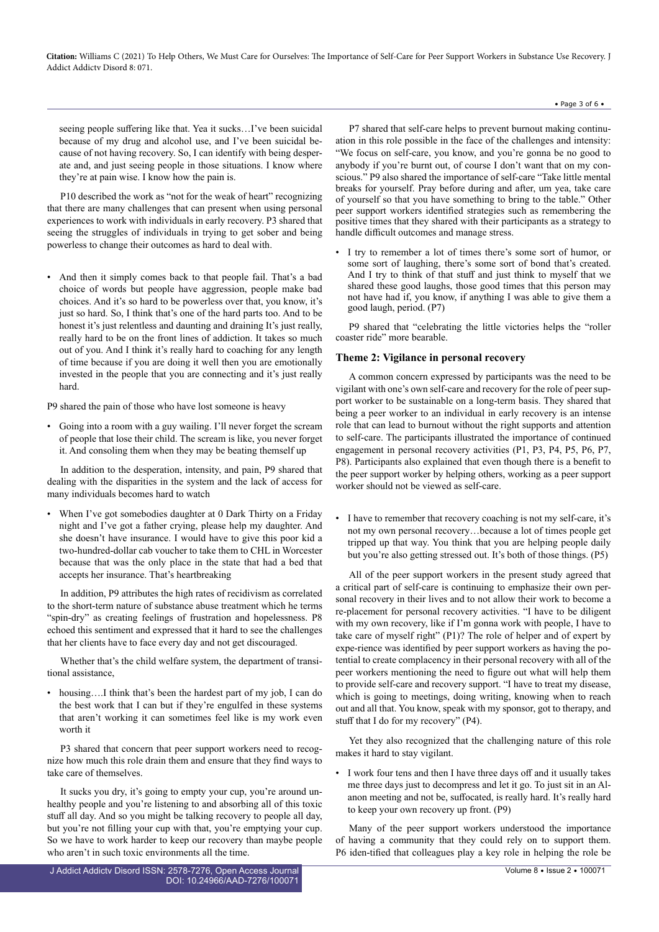seeing people suffering like that. Yea it sucks…I've been suicidal because of my drug and alcohol use, and I've been suicidal because of not having recovery. So, I can identify with being desperate and, and just seeing people in those situations. I know where they're at pain wise. I know how the pain is.

P10 described the work as "not for the weak of heart" recognizing that there are many challenges that can present when using personal experiences to work with individuals in early recovery. P3 shared that seeing the struggles of individuals in trying to get sober and being powerless to change their outcomes as hard to deal with.

• And then it simply comes back to that people fail. That's a bad choice of words but people have aggression, people make bad choices. And it's so hard to be powerless over that, you know, it's just so hard. So, I think that's one of the hard parts too. And to be honest it's just relentless and daunting and draining It's just really, really hard to be on the front lines of addiction. It takes so much out of you. And I think it's really hard to coaching for any length of time because if you are doing it well then you are emotionally invested in the people that you are connecting and it's just really hard.

P9 shared the pain of those who have lost someone is heavy

• Going into a room with a guy wailing. I'll never forget the scream of people that lose their child. The scream is like, you never forget it. And consoling them when they may be beating themself up

In addition to the desperation, intensity, and pain, P9 shared that dealing with the disparities in the system and the lack of access for many individuals becomes hard to watch

When I've got somebodies daughter at 0 Dark Thirty on a Friday night and I've got a father crying, please help my daughter. And she doesn't have insurance. I would have to give this poor kid a two-hundred-dollar cab voucher to take them to CHL in Worcester because that was the only place in the state that had a bed that accepts her insurance. That's heartbreaking

In addition, P9 attributes the high rates of recidivism as correlated to the short-term nature of substance abuse treatment which he terms "spin-dry" as creating feelings of frustration and hopelessness. P8 echoed this sentiment and expressed that it hard to see the challenges that her clients have to face every day and not get discouraged.

Whether that's the child welfare system, the department of transitional assistance,

housing....I think that's been the hardest part of my job, I can do the best work that I can but if they're engulfed in these systems that aren't working it can sometimes feel like is my work even worth it

P3 shared that concern that peer support workers need to recognize how much this role drain them and ensure that they find ways to take care of themselves.

It sucks you dry, it's going to empty your cup, you're around unhealthy people and you're listening to and absorbing all of this toxic stuff all day. And so you might be talking recovery to people all day, but you're not filling your cup with that, you're emptying your cup. So we have to work harder to keep our recovery than maybe people who aren't in such toxic environments all the time.

J Addict Addictv Disord ISSN: 2578-7276, Open Access Journal DOI: [10.24966/AAD-7276/100071](https://doi.org/10.24966/AAD-7276/100071)

P7 shared that self-care helps to prevent burnout making continuation in this role possible in the face of the challenges and intensity: "We focus on self-care, you know, and you're gonna be no good to anybody if you're burnt out, of course I don't want that on my conscious." P9 also shared the importance of self-care "Take little mental breaks for yourself. Pray before during and after, um yea, take care of yourself so that you have something to bring to the table." Other peer support workers identified strategies such as remembering the positive times that they shared with their participants as a strategy to handle difficult outcomes and manage stress.

• Page 3 of 6 •

• I try to remember a lot of times there's some sort of humor, or some sort of laughing, there's some sort of bond that's created. And I try to think of that stuff and just think to myself that we shared these good laughs, those good times that this person may not have had if, you know, if anything I was able to give them a good laugh, period. (P7)

P9 shared that "celebrating the little victories helps the "roller coaster ride" more bearable.

#### **Theme 2: Vigilance in personal recovery**

A common concern expressed by participants was the need to be vigilant with one's own self-care and recovery for the role of peer support worker to be sustainable on a long-term basis. They shared that being a peer worker to an individual in early recovery is an intense role that can lead to burnout without the right supports and attention to self-care. The participants illustrated the importance of continued engagement in personal recovery activities (P1, P3, P4, P5, P6, P7, P8). Participants also explained that even though there is a benefit to the peer support worker by helping others, working as a peer support worker should not be viewed as self-care.

• I have to remember that recovery coaching is not my self-care, it's not my own personal recovery…because a lot of times people get tripped up that way. You think that you are helping people daily but you're also getting stressed out. It's both of those things. (P5)

All of the peer support workers in the present study agreed that a critical part of self-care is continuing to emphasize their own personal recovery in their lives and to not allow their work to become a re-placement for personal recovery activities. "I have to be diligent with my own recovery, like if I'm gonna work with people, I have to take care of myself right" (P1)? The role of helper and of expert by expe-rience was identified by peer support workers as having the potential to create complacency in their personal recovery with all of the peer workers mentioning the need to figure out what will help them to provide self-care and recovery support. "I have to treat my disease, which is going to meetings, doing writing, knowing when to reach out and all that. You know, speak with my sponsor, got to therapy, and stuff that I do for my recovery" (P4).

Yet they also recognized that the challenging nature of this role makes it hard to stay vigilant.

• I work four tens and then I have three days off and it usually takes me three days just to decompress and let it go. To just sit in an Alanon meeting and not be, suffocated, is really hard. It's really hard to keep your own recovery up front. (P9)

Many of the peer support workers understood the importance of having a community that they could rely on to support them. P6 iden-tified that colleagues play a key role in helping the role be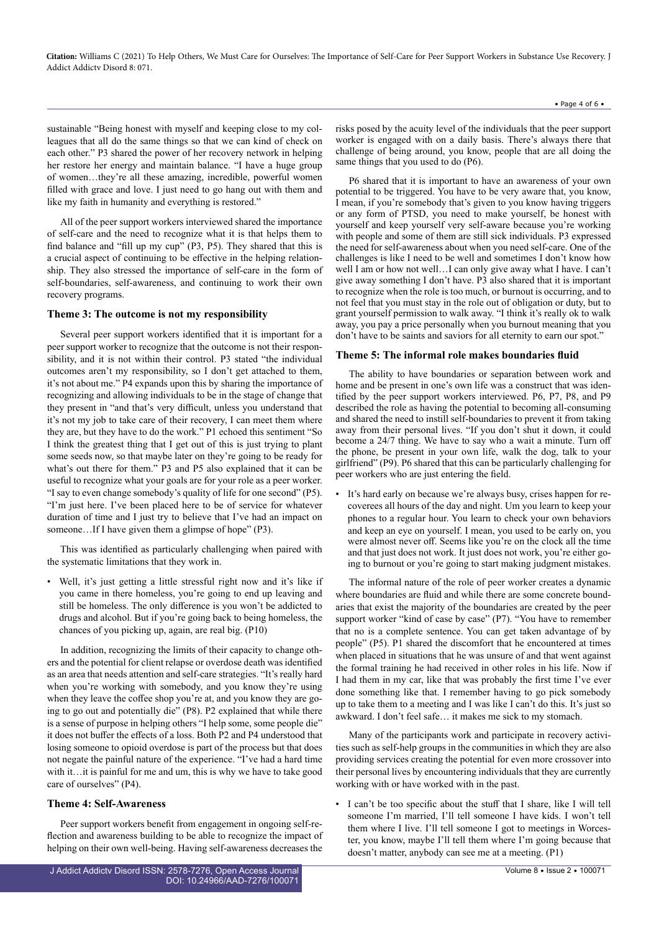sustainable "Being honest with myself and keeping close to my colleagues that all do the same things so that we can kind of check on each other." P3 shared the power of her recovery network in helping her restore her energy and maintain balance. "I have a huge group of women…they're all these amazing, incredible, powerful women filled with grace and love. I just need to go hang out with them and like my faith in humanity and everything is restored."

All of the peer support workers interviewed shared the importance of self-care and the need to recognize what it is that helps them to find balance and "fill up my cup" (P3, P5). They shared that this is a crucial aspect of continuing to be effective in the helping relationship. They also stressed the importance of self-care in the form of self-boundaries, self-awareness, and continuing to work their own recovery programs.

#### **Theme 3: The outcome is not my responsibility**

Several peer support workers identified that it is important for a peer support worker to recognize that the outcome is not their responsibility, and it is not within their control. P3 stated "the individual outcomes aren't my responsibility, so I don't get attached to them, it's not about me." P4 expands upon this by sharing the importance of recognizing and allowing individuals to be in the stage of change that they present in "and that's very difficult, unless you understand that it's not my job to take care of their recovery, I can meet them where they are, but they have to do the work." P1 echoed this sentiment "So I think the greatest thing that I get out of this is just trying to plant some seeds now, so that maybe later on they're going to be ready for what's out there for them." P3 and P5 also explained that it can be useful to recognize what your goals are for your role as a peer worker. "I say to even change somebody's quality of life for one second" (P5). "I'm just here. I've been placed here to be of service for whatever duration of time and I just try to believe that I've had an impact on someone...If I have given them a glimpse of hope" (P3).

This was identified as particularly challenging when paired with the systematic limitations that they work in.

• Well, it's just getting a little stressful right now and it's like if you came in there homeless, you're going to end up leaving and still be homeless. The only difference is you won't be addicted to drugs and alcohol. But if you're going back to being homeless, the chances of you picking up, again, are real big. (P10)

In addition, recognizing the limits of their capacity to change others and the potential for client relapse or overdose death was identified as an area that needs attention and self-care strategies. "It's really hard when you're working with somebody, and you know they're using when they leave the coffee shop you're at, and you know they are going to go out and potentially die" (P8). P2 explained that while there is a sense of purpose in helping others "I help some, some people die" it does not buffer the effects of a loss. Both P2 and P4 understood that losing someone to opioid overdose is part of the process but that does not negate the painful nature of the experience. "I've had a hard time with it…it is painful for me and um, this is why we have to take good care of ourselves" (P4).

#### **Theme 4: Self-Awareness**

Peer support workers benefit from engagement in ongoing self-reflection and awareness building to be able to recognize the impact of helping on their own well-being. Having self-awareness decreases the

• Page 4 of 6 •

risks posed by the acuity level of the individuals that the peer support worker is engaged with on a daily basis. There's always there that challenge of being around, you know, people that are all doing the same things that you used to do (P6).

P6 shared that it is important to have an awareness of your own potential to be triggered. You have to be very aware that, you know, I mean, if you're somebody that's given to you know having triggers or any form of PTSD, you need to make yourself, be honest with yourself and keep yourself very self-aware because you're working with people and some of them are still sick individuals. P3 expressed the need for self-awareness about when you need self-care. One of the challenges is like I need to be well and sometimes I don't know how well I am or how not well…I can only give away what I have. I can't give away something I don't have. P3 also shared that it is important to recognize when the role is too much, or burnout is occurring, and to not feel that you must stay in the role out of obligation or duty, but to grant yourself permission to walk away. "I think it's really ok to walk away, you pay a price personally when you burnout meaning that you don't have to be saints and saviors for all eternity to earn our spot.'

#### **Theme 5: The informal role makes boundaries fluid**

The ability to have boundaries or separation between work and home and be present in one's own life was a construct that was identified by the peer support workers interviewed. P6, P7, P8, and P9 described the role as having the potential to becoming all-consuming and shared the need to instill self-boundaries to prevent it from taking away from their personal lives. "If you don't shut it down, it could become a 24/7 thing. We have to say who a wait a minute. Turn off the phone, be present in your own life, walk the dog, talk to your girlfriend" (P9). P6 shared that this can be particularly challenging for peer workers who are just entering the field.

It's hard early on because we're always busy, crises happen for recoverees all hours of the day and night. Um you learn to keep your phones to a regular hour. You learn to check your own behaviors and keep an eye on yourself. I mean, you used to be early on, you were almost never off. Seems like you're on the clock all the time and that just does not work. It just does not work, you're either going to burnout or you're going to start making judgment mistakes.

The informal nature of the role of peer worker creates a dynamic where boundaries are fluid and while there are some concrete boundaries that exist the majority of the boundaries are created by the peer support worker "kind of case by case" (P7). "You have to remember that no is a complete sentence. You can get taken advantage of by people" (P5). P1 shared the discomfort that he encountered at times when placed in situations that he was unsure of and that went against the formal training he had received in other roles in his life. Now if I had them in my car, like that was probably the first time I've ever done something like that. I remember having to go pick somebody up to take them to a meeting and I was like I can't do this. It's just so awkward. I don't feel safe… it makes me sick to my stomach.

Many of the participants work and participate in recovery activities such as self-help groups in the communities in which they are also providing services creating the potential for even more crossover into their personal lives by encountering individuals that they are currently working with or have worked with in the past.

• I can't be too specific about the stuff that I share, like I will tell someone I'm married, I'll tell someone I have kids. I won't tell them where I live. I'll tell someone I got to meetings in Worcester, you know, maybe I'll tell them where I'm going because that doesn't matter, anybody can see me at a meeting. (P1)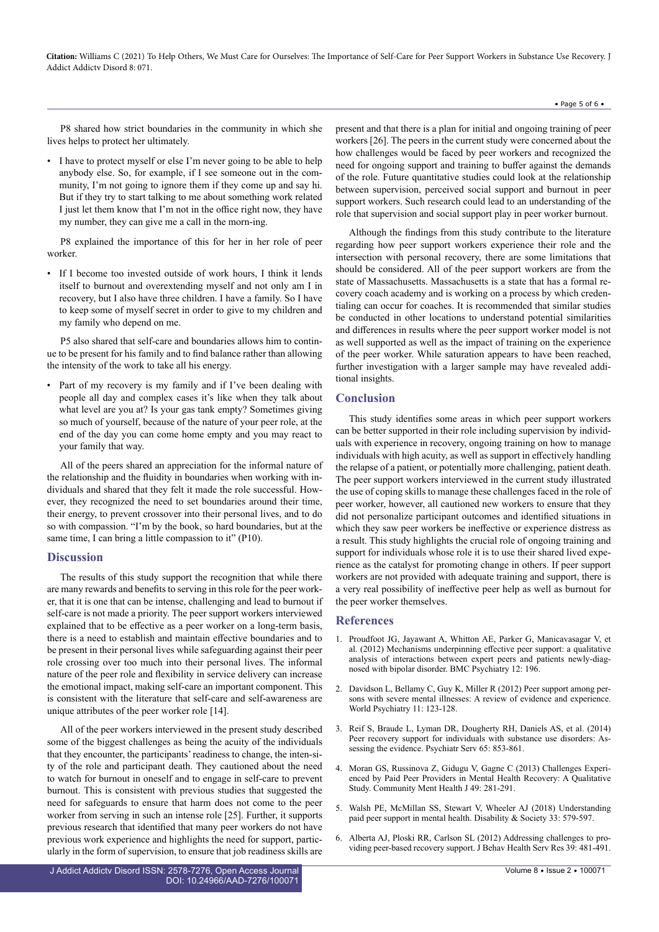#### • Page 5 of 6 •

P8 shared how strict boundaries in the community in which she lives helps to protect her ultimately.

• I have to protect myself or else I'm never going to be able to help anybody else. So, for example, if I see someone out in the community, I'm not going to ignore them if they come up and say hi. But if they try to start talking to me about something work related I just let them know that I'm not in the office right now, they have my number, they can give me a call in the morn-ing.

P8 explained the importance of this for her in her role of peer worker.

If I become too invested outside of work hours, I think it lends itself to burnout and overextending myself and not only am I in recovery, but I also have three children. I have a family. So I have to keep some of myself secret in order to give to my children and my family who depend on me.

P5 also shared that self-care and boundaries allows him to continue to be present for his family and to find balance rather than allowing the intensity of the work to take all his energy.

Part of my recovery is my family and if I've been dealing with people all day and complex cases it's like when they talk about what level are you at? Is your gas tank empty? Sometimes giving so much of yourself, because of the nature of your peer role, at the end of the day you can come home empty and you may react to your family that way.

All of the peers shared an appreciation for the informal nature of the relationship and the fluidity in boundaries when working with individuals and shared that they felt it made the role successful. However, they recognized the need to set boundaries around their time, their energy, to prevent crossover into their personal lives, and to do so with compassion. "I'm by the book, so hard boundaries, but at the same time, I can bring a little compassion to it" (P10).

#### **Discussion**

The results of this study support the recognition that while there are many rewards and benefits to serving in this role for the peer worker, that it is one that can be intense, challenging and lead to burnout if self-care is not made a priority. The peer support workers interviewed explained that to be effective as a peer worker on a long-term basis, there is a need to establish and maintain effective boundaries and to be present in their personal lives while safeguarding against their peer role crossing over too much into their personal lives. The informal nature of the peer role and flexibility in service delivery can increase the emotional impact, making self-care an important component. This is consistent with the literature that self-care and self-awareness are unique attributes of the peer worker role [14].

All of the peer workers interviewed in the present study described some of the biggest challenges as being the acuity of the individuals that they encounter, the participants' readiness to change, the inten-sity of the role and participant death. They cautioned about the need to watch for burnout in oneself and to engage in self-care to prevent burnout. This is consistent with previous studies that suggested the need for safeguards to ensure that harm does not come to the peer worker from serving in such an intense role [25]. Further, it supports previous research that identified that many peer workers do not have previous work experience and highlights the need for support, particularly in the form of supervision, to ensure that job readiness skills are

J Addict Addictv Disord ISSN: 2578-7276, Open Access Journal DOI: [10.24966/AAD-7276/100071](https://doi.org/10.24966/AAD-7276/100071) present and that there is a plan for initial and ongoing training of peer workers [26]. The peers in the current study were concerned about the how challenges would be faced by peer workers and recognized the need for ongoing support and training to buffer against the demands of the role. Future quantitative studies could look at the relationship between supervision, perceived social support and burnout in peer support workers. Such research could lead to an understanding of the role that supervision and social support play in peer worker burnout.

Although the findings from this study contribute to the literature regarding how peer support workers experience their role and the intersection with personal recovery, there are some limitations that should be considered. All of the peer support workers are from the state of Massachusetts. Massachusetts is a state that has a formal recovery coach academy and is working on a process by which credentialing can occur for coaches. It is recommended that similar studies be conducted in other locations to understand potential similarities and differences in results where the peer support worker model is not as well supported as well as the impact of training on the experience of the peer worker. While saturation appears to have been reached, further investigation with a larger sample may have revealed additional insights.

#### **Conclusion**

This study identifies some areas in which peer support workers can be better supported in their role including supervision by individuals with experience in recovery, ongoing training on how to manage individuals with high acuity, as well as support in effectively handling the relapse of a patient, or potentially more challenging, patient death. The peer support workers interviewed in the current study illustrated the use of coping skills to manage these challenges faced in the role of peer worker, however, all cautioned new workers to ensure that they did not personalize participant outcomes and identified situations in which they saw peer workers be ineffective or experience distress as a result. This study highlights the crucial role of ongoing training and support for individuals whose role it is to use their shared lived experience as the catalyst for promoting change in others. If peer support workers are not provided with adequate training and support, there is a very real possibility of ineffective peer help as well as burnout for the peer worker themselves.

#### **References**

- 1. Proudfoot JG, Jayawant A, Whitton AE, Parker G, Manicavasagar V, et al. (2012) Mechanisms underpinning effective peer support: a qualitative analysis of interactions between expert peers and patients newly-diagnosed with bipolar disorder. BMC Psychiatry 12: 196.
- 2. [Davidson L, Bellamy C, Guy K, Miller R \(2012\) Peer support among per](https://pubmed.ncbi.nlm.nih.gov/22654945/)[sons with severe mental illnesses: A review of evidence and experience.](https://pubmed.ncbi.nlm.nih.gov/22654945/) [World Psychiatry 11: 123-128.](https://pubmed.ncbi.nlm.nih.gov/22654945/)
- 3. [Reif S, Braude L, Lyman DR, Dougherty RH, Daniels AS, et al. \(2014\)](https://pubmed.ncbi.nlm.nih.gov/24838535/) [Peer recovery support for individuals with substance use disorders: As](https://pubmed.ncbi.nlm.nih.gov/24838535/)[sessing the evidence. Psychiatr Serv 65: 853-861.](https://pubmed.ncbi.nlm.nih.gov/24838535/)
- 4. [Moran GS, Russinova Z, Gidugu V, Gagne C \(2013\) Challenges Experi](https://pubmed.ncbi.nlm.nih.gov/23117937/)[enced by Paid Peer Providers in Mental Health Recovery: A Qualitative](https://pubmed.ncbi.nlm.nih.gov/23117937/) [Study. Community Ment Health J 49: 281-291.](https://pubmed.ncbi.nlm.nih.gov/23117937/)
- 5. [Walsh PE, McMillan SS, Stewart V, Wheeler AJ \(2018\) Understanding](https://www.tandfonline.com/doi/abs/10.1080/09687599.2018.1441705) [paid peer support in mental health. Disability & Society 33: 579-597.](https://www.tandfonline.com/doi/abs/10.1080/09687599.2018.1441705)
- 6. [Alberta AJ, Ploski RR, Carlson SL \(2012\) Addressing challenges to pro](https://pubmed.ncbi.nlm.nih.gov/22828975/)[viding peer-based recovery support. J Behav Health Serv Res 39: 481-491.](https://pubmed.ncbi.nlm.nih.gov/22828975/)